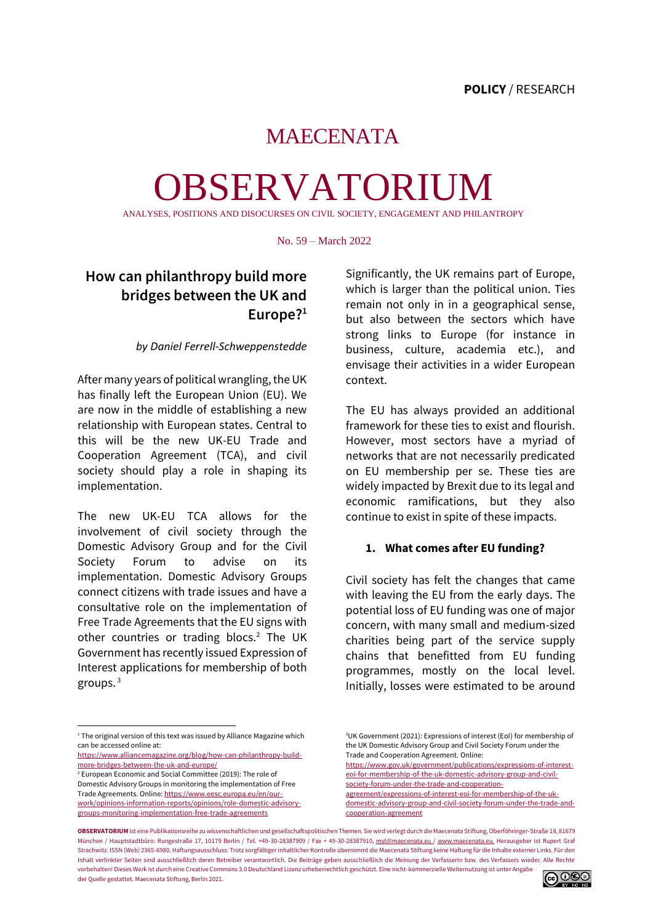## MAECENATA

# OBSERVATORIUM

ANALYSE S, POSITIONS AND DISOCURSES ON CIVIL SOCIETY, ENGAGEMENT AND PHILANTROPY

No. 59 – March 2022

### **How can philanthropy build more bridges between the UK and Europe?<sup>1</sup>**

#### *by Daniel Ferrell-Schweppenstedde*

After many years of political wrangling, the UK has finally left the European Union (EU). We are now in the middle of establishing a new relationship with European states. Central to this will be the new UK-EU Trade and Cooperation Agreement (TCA), and civil society should play a role in shaping its implementation.

The new UK-EU TCA allows for the involvement of civil society through the Domestic Advisory Group and for the Civil Society Forum to advise on its implementation. Domestic Advisory Groups connect citizens with trade issues and have a consultative role on the implementation of Free Trade Agreements that the EU signs with other countries or trading blocs.<sup>2</sup> The UK Government has recently issued Expression of Interest applications for membership of both groups. <sup>3</sup>

Significantly, the UK remains part of Europe, which is larger than the political union. Ties remain not only in in a geographical sense, but also between the sectors which have strong links to Europe (for instance in business, culture, academia etc.), and envisage their activities in a wider European context.

The EU has always provided an additional framework for these ties to exist and flourish. However, most sectors have a myriad of networks that are not necessarily predicated on EU membership per se. These ties are widely impacted by Brexit due to its legal and economic ramifications, but they also continue to exist in spite of these impacts.

#### **1. What comes after EU funding?**

Civil society has felt the changes that came with leaving the EU from the early days. The potential loss of EU funding was one of major concern, with many small and medium-sized charities being part of the service supply chains that benefitted from EU funding programmes, mostly on the local level. Initially, losses were estimated to be around

[domestic-advisory-group-and-civil-society-forum-under-the-trade-and](https://www.gov.uk/government/publications/expressions-of-interest-eoi-for-membership-of-the-uk-domestic-advisory-group-and-civil-society-forum-under-the-trade-and-cooperation-agreement/expressions-of-interest-eoi-for-membership-of-the-uk-domestic-advisory-group-and-civil-society-forum-under-the-trade-and-cooperation-agreement)[cooperation-agreement](https://www.gov.uk/government/publications/expressions-of-interest-eoi-for-membership-of-the-uk-domestic-advisory-group-and-civil-society-forum-under-the-trade-and-cooperation-agreement/expressions-of-interest-eoi-for-membership-of-the-uk-domestic-advisory-group-and-civil-society-forum-under-the-trade-and-cooperation-agreement)

**OBSERVATORIUM** ist eine Publikationsreihe zu wissenschaftlichen und gesellschaftspolitischen Themen. Sie wird verlegt durch die Maecenata Stiftung, Oberföhringer-Straße 18, 81679 München / Hauptstadtbüro: Rungestraße 17, 10179 Berlin / Tel. +49-30-28387909 / Fax + 49-30-28387910[, mst@maecenata.eu /](file://///Users/nathaliePrange/Documents/Uni/EU%20Video%20/Maecenata%20Praktikum/%22ma) [www.maecenata.eu.](http://www.maecenata.eu/) Herausgeber ist Rupert Graf Strachwitz. ISSN (Web) 2365-6980. Haftungsausschluss: Trotz sorgfältiger inhaltlicher Kontrolle übernimmt die Maecenata Stiftung keine Haftung für die Inhalte externer Links. Für den Inhalt verlinkter Seiten sind ausschließlich deren Betreiber verantwortlich. Die Beiträge geben ausschließlich die Meinung der Verfasserin bzw. des Verfassers wieder. Alle Rechte vorbehalten! Dieses Werk ist durch eine Creative Commons 3.0 Deutschland Lizenz urheberrechtlich geschützt. Eine nicht-kommerzielle Weiternutzung ist unter Angabe der Quelle gestattet. Maecenata Stiftung, Berlin 2021.



<sup>&</sup>lt;sup>1</sup> The original version of this text was issued by Alliance Magazine which can be accessed online at:

[https://www.alliancemagazine.org/blog/how-can-philanthropy-build](https://www.alliancemagazine.org/blog/how-can-philanthropy-build-more-bridges-between-the-uk-and-europe/)[more-bridges-between-the-uk-and-europe/](https://www.alliancemagazine.org/blog/how-can-philanthropy-build-more-bridges-between-the-uk-and-europe/)

<sup>2</sup> European Economic and Social Committee (2019): The role of Domestic Advisory Groups in monitoring the implementation of Free Trade Agreements. Online[: https://www.eesc.europa.eu/en/our](https://www.eesc.europa.eu/en/our-work/opinions-information-reports/opinions/role-domestic-advisory-groups-monitoring-implementation-free-trade-agreements)[work/opinions-information-reports/opinions/role-domestic-advisory](https://www.eesc.europa.eu/en/our-work/opinions-information-reports/opinions/role-domestic-advisory-groups-monitoring-implementation-free-trade-agreements)[groups-monitoring-implementation-free-trade-agreements](https://www.eesc.europa.eu/en/our-work/opinions-information-reports/opinions/role-domestic-advisory-groups-monitoring-implementation-free-trade-agreements)

<sup>3</sup>UK Government (2021): Expressions of interest (EoI) for membership of the UK Domestic Advisory Group and Civil Society Forum under the Trade and Cooperation Agreement. Online:

[https://www.gov.uk/government/publications/expressions-of-interest](https://www.gov.uk/government/publications/expressions-of-interest-eoi-for-membership-of-the-uk-domestic-advisory-group-and-civil-society-forum-under-the-trade-and-cooperation-agreement/expressions-of-interest-eoi-for-membership-of-the-uk-domestic-advisory-group-and-civil-society-forum-under-the-trade-and-cooperation-agreement)[eoi-for-membership-of-the-uk-domestic-advisory-group-and-civil-](https://www.gov.uk/government/publications/expressions-of-interest-eoi-for-membership-of-the-uk-domestic-advisory-group-and-civil-society-forum-under-the-trade-and-cooperation-agreement/expressions-of-interest-eoi-for-membership-of-the-uk-domestic-advisory-group-and-civil-society-forum-under-the-trade-and-cooperation-agreement)

[society-forum-under-the-trade-and-cooperation](https://www.gov.uk/government/publications/expressions-of-interest-eoi-for-membership-of-the-uk-domestic-advisory-group-and-civil-society-forum-under-the-trade-and-cooperation-agreement/expressions-of-interest-eoi-for-membership-of-the-uk-domestic-advisory-group-and-civil-society-forum-under-the-trade-and-cooperation-agreement)[agreement/expressions-of-interest-eoi-for-membership-of-the-uk-](https://www.gov.uk/government/publications/expressions-of-interest-eoi-for-membership-of-the-uk-domestic-advisory-group-and-civil-society-forum-under-the-trade-and-cooperation-agreement/expressions-of-interest-eoi-for-membership-of-the-uk-domestic-advisory-group-and-civil-society-forum-under-the-trade-and-cooperation-agreement)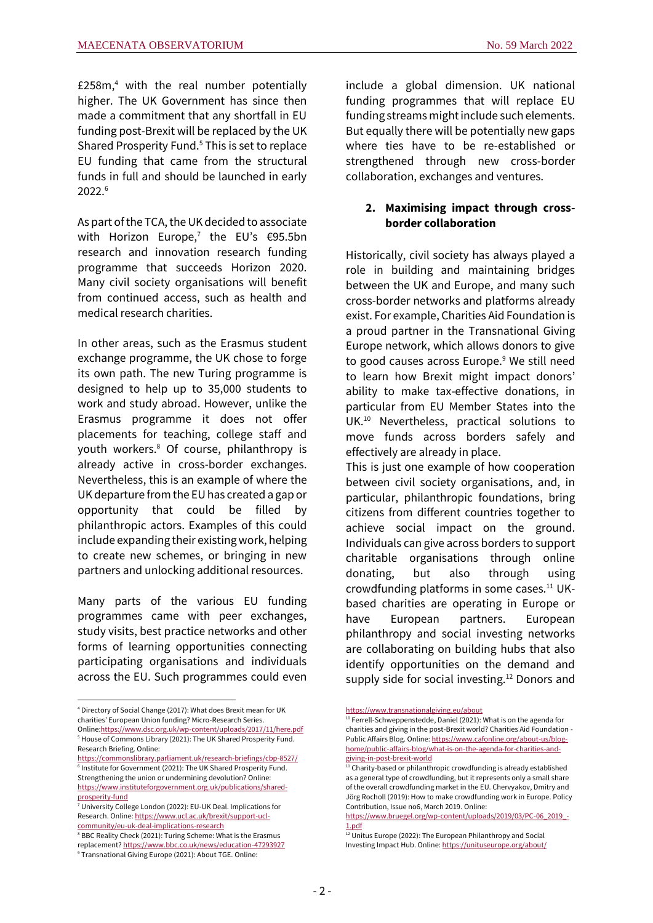£258 $m<sub>1</sub><sup>4</sup>$  with the real number potentially higher. The UK Government has since then made a commitment that any shortfall in EU funding post-Brexit will be replaced by the UK Shared Prosperity Fund.<sup>5</sup> This is set to replace EU funding that came from the structural funds in full and should be launched in early 2022.<sup>6</sup>

As part of the TCA, the UK decided to associate with Horizon Europe,<sup>7</sup> the EU's  $\epsilon$ 95.5bn research and innovation research funding programme that succeeds Horizon 2020. Many civil society organisations will benefit from continued access, such as health and medical research charities.

In other areas, such as the Erasmus student exchange programme, the UK chose to forge its own path. The new Turing programme is designed to help up to 35,000 students to work and study abroad. However, unlike the Erasmus programme it does not offer placements for teaching, college staff and youth workers.<sup>8</sup> Of course, philanthropy is already active in cross-border exchanges. Nevertheless, this is an example of where the UK departure from the EU has created a gap or opportunity that could be filled by philanthropic actors. Examples of this could include expanding their existing work, helping to create new schemes, or bringing in new partners and unlocking additional resources.

Many parts of the various EU funding programmes came with peer exchanges, study visits, best practice networks and other forms of learning opportunities connecting participating organisations and individuals across the EU. Such programmes could even

include a global dimension. UK national funding programmes that will replace EU funding streams might include such elements. But equally there will be potentially new gaps where ties have to be re-established or strengthened through new cross-border collaboration, exchanges and ventures.

#### **2. Maximising impact through crossborder collaboration**

Historically, civil society has always played a role in building and maintaining bridges between the UK and Europe, and many such cross-border networks and platforms already exist. For example, Charities Aid Foundation is a proud partner in the Transnational Giving Europe network, which allows donors to give to good causes across Europe.<sup>9</sup> We still need to learn how Brexit might impact donors' ability to make tax-effective donations, in particular from EU Member States into the UK.<sup>10</sup> Nevertheless, practical solutions to move funds across borders safely and effectively are already in place.

This is just one example of how cooperation between civil society organisations, and, in particular, philanthropic foundations, bring citizens from different countries together to achieve social impact on the ground. Individuals can give across borders to support charitable organisations through online donating, but also through using crowdfunding platforms in some cases.<sup>11</sup> UKbased charities are operating in Europe or have European partners. European philanthropy and social investing networks are collaborating on building hubs that also identify opportunities on the demand and supply side for social investing.<sup>12</sup> Donors and

<sup>4</sup> Directory of Social Change (2017): What does Brexit mean for UK charities' European Union funding? Micro-Research Series.

Onlin[e:https://www.dsc.org.uk/wp-content/uploads/2017/11/here.pdf](https://www.dsc.org.uk/wp-content/uploads/2017/11/here.pdf) <sup>5</sup> House of Commons Library (2021): The UK Shared Prosperity Fund. Research Briefing. Online:

<https://commonslibrary.parliament.uk/research-briefings/cbp-8527/> 6 Institute for Government (2021): The UK Shared Prosperity Fund. Strengthening the union or undermining devolution? Online: [https://www.instituteforgovernment.org.uk/publications/shared](https://www.instituteforgovernment.org.uk/publications/shared-prosperity-fund)[prosperity-fund](https://www.instituteforgovernment.org.uk/publications/shared-prosperity-fund)

<sup>7</sup> University College London (2022): EU-UK Deal. Implications for Research. Online[: https://www.ucl.ac.uk/brexit/support-ucl](https://www.ucl.ac.uk/brexit/support-ucl-community/eu-uk-deal-implications-research)[community/eu-uk-deal-implications-research](https://www.ucl.ac.uk/brexit/support-ucl-community/eu-uk-deal-implications-research)

<sup>&</sup>lt;sup>8</sup> BBC Reality Check (2021): Turing Scheme: What is the Erasmus replacement? <https://www.bbc.co.uk/news/education-47293927> <sup>9</sup> Transnational Giving Europe (2021): About TGE. Online:

<https://www.transnationalgiving.eu/about>

<sup>&</sup>lt;sup>10</sup> Ferrell-Schweppenstedde, Daniel (2021): What is on the agenda for charities and giving in the post-Brexit world? Charities Aid Foundation - Public Affairs Blog. Online[: https://www.cafonline.org/about-us/blog](https://www.cafonline.org/about-us/blog-home/public-affairs-blog/what-is-on-the-agenda-for-charities-and-giving-in-post-brexit-world)[home/public-affairs-blog/what-is-on-the-agenda-for-charities-and](https://www.cafonline.org/about-us/blog-home/public-affairs-blog/what-is-on-the-agenda-for-charities-and-giving-in-post-brexit-world)[giving-in-post-brexit-world](https://www.cafonline.org/about-us/blog-home/public-affairs-blog/what-is-on-the-agenda-for-charities-and-giving-in-post-brexit-world)

<sup>&</sup>lt;sup>11</sup> Charity-based or philanthropic crowdfunding is already established as a general type of crowdfunding, but it represents only a small share of the overall crowdfunding market in the EU. Chervyakov, Dmitry and Jörg Rocholl (2019): How to make crowdfunding work in Europe. Policy Contribution, Issue no6, March 2019. Online:

[https://www.bruegel.org/wp-content/uploads/2019/03/PC-06\\_2019\\_-](https://www.bruegel.org/wp-content/uploads/2019/03/PC-06_2019_-1.pdf) [1.pdf](https://www.bruegel.org/wp-content/uploads/2019/03/PC-06_2019_-1.pdf)

<sup>&</sup>lt;sup>12</sup> Unitus Europe (2022): The European Philanthropy and Social Investing Impact Hub. Online[: https://unituseurope.org/about/](https://unituseurope.org/about/)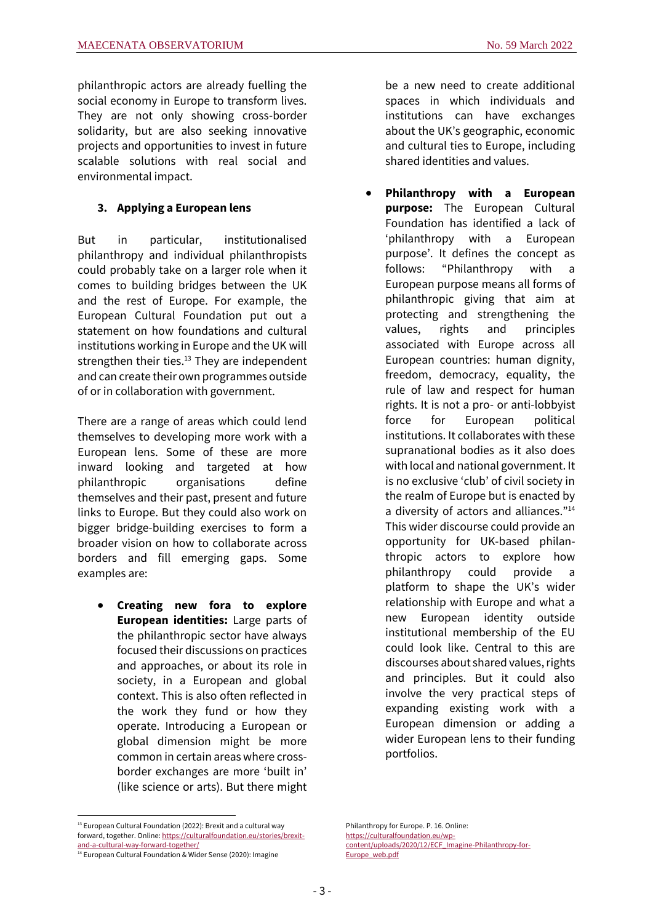philanthropic actors are already fuelling the social economy in Europe to transform lives. They are not only showing cross-border solidarity, but are also seeking innovative projects and opportunities to invest in future scalable solutions with real social and environmental impact.

#### **3. Applying a European lens**

But in particular, institutionalised philanthropy and individual philanthropists could probably take on a larger role when it comes to building bridges between the UK and the rest of Europe. For example, the European Cultural Foundation put out a statement on how foundations and cultural institutions working in Europe and the UK will strengthen their ties. $13$  They are independent and can create their own programmes outside of or in collaboration with government.

There are a range of areas which could lend themselves to developing more work with a European lens. Some of these are more inward looking and targeted at how philanthropic organisations define themselves and their past, present and future links to Europe. But they could also work on bigger bridge-building exercises to form a broader vision on how to collaborate across borders and fill emerging gaps. Some examples are:

• **Creating new fora to explore European identities:** Large parts of the philanthropic sector have always focused their discussions on practices and approaches, or about its role in society, in a European and global context. This is also often reflected in the work they fund or how they operate. Introducing a European or global dimension might be more common in certain areas where crossborder exchanges are more 'built in' (like science or arts). But there might be a new need to create additional spaces in which individuals and institutions can have exchanges about the UK's geographic, economic and cultural ties to Europe, including shared identities and values.

• **Philanthropy with a European purpose:** The European Cultural Foundation has identified a lack of 'philanthropy with a European purpose'. It defines the concept as follows: "Philanthropy with a European purpose means all forms of philanthropic giving that aim at protecting and strengthening the values, rights and principles associated with Europe across all European countries: human dignity, freedom, democracy, equality, the rule of law and respect for human rights. It is not a pro- or anti-lobbyist force for European political institutions. It collaborates with these supranational bodies as it also does with local and national government. It is no exclusive 'club' of civil society in the realm of Europe but is enacted by a diversity of actors and alliances."<sup>14</sup> This wider discourse could provide an opportunity for UK-based philanthropic actors to explore how philanthropy could provide a platform to shape the UK's wider relationship with Europe and what a new European identity outside institutional membership of the EU could look like. Central to this are discourses about shared values, rights and principles. But it could also involve the very practical steps of expanding existing work with a European dimension or adding a wider European lens to their funding portfolios.

 $13$  European Cultural Foundation (2022): Brexit and a cultural way forward, together. Online: [https://culturalfoundation.eu/stories/brexit](https://culturalfoundation.eu/stories/brexit-and-a-cultural-way-forward-together/)[and-a-cultural-way-forward-together/](https://culturalfoundation.eu/stories/brexit-and-a-cultural-way-forward-together/)

<sup>&</sup>lt;sup>14</sup> European Cultural Foundation & Wider Sense (2020): Imagine

Philanthropy for Europe. P. 16. Online: [https://culturalfoundation.eu/wp](https://culturalfoundation.eu/wp-content/uploads/2020/12/ECF_Imagine-Philanthropy-for-Europe_web.pdf)[content/uploads/2020/12/ECF\\_Imagine-Philanthropy-for-](https://culturalfoundation.eu/wp-content/uploads/2020/12/ECF_Imagine-Philanthropy-for-Europe_web.pdf)[Europe\\_web.pdf](https://culturalfoundation.eu/wp-content/uploads/2020/12/ECF_Imagine-Philanthropy-for-Europe_web.pdf)